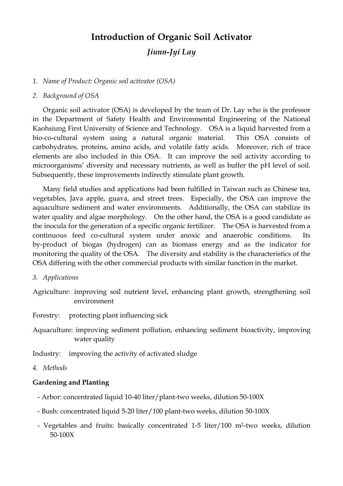# **Introduction of Organic Soil Activator** *Jiunn-Jyi Lay*

### *1. Name of Product: Organic soil activator (OSA)*

#### *2. Background of OSA*

Organic soil activator (OSA) is developed by the team of Dr. Lay who is the professor in the Department of Safety Health and Environmental Engineering of the National Kaohsiung First University of Science and Technology. OSA is a liquid harvested from a bio-co-cultural system using a natural organic material. This OSA consists of carbohydrates, proteins, amino acids, and volatile fatty acids. Moreover, rich of trace elements are also included in this OSA. It can improve the soil activity according to microorganisms'diversity and necessary nutrients, as well as buffer the pH level of soil. Subsequently, these improvements indirectly stimulate plant growth.

Many field studies and applications had been fulfilled in Taiwan such as Chinese tea, vegetables, Java apple, guava, and street trees. Especially, the OSA can improve the aquaculture sediment and water environments. Additionally, the OSA can stabilize its water quality and algae morphology. On the other hand, the OSA is a good candidate as the inocula for the generation of a specific organic fertilizer. The OSA is harvested from a continuous feed co-cultural system under anoxic and anaerobic conditions. Its by-product of biogas (hydrogen) can as biomass energy and as the indicator for monitoring the quality of the OSA. The diversity and stability is the characteristics of the OSA differing with the other commercial products with similar function in the market.

- *3. Applications*
- Agriculture: improving soil nutrient level, enhancing plant growth, strengthening soil environment
- Forestry: protecting plant influencing sick
- Aquaculture: improving sediment pollution, enhancing sediment bioactivity, improving water quality

Industry: improving the activity of activated sludge

#### *4. Methods*

### **Gardening and Planting**

- Arbor: concentrated liquid 10-40 liter/plant-two weeks, dilution 50-100X
- Bush: concentrated liquid 5-20 liter/100 plant-two weeks, dilution 50-100X
- Vegetables and fruits: basically concentrated 1-5 liter/100 m2-two weeks, dilution 50-100X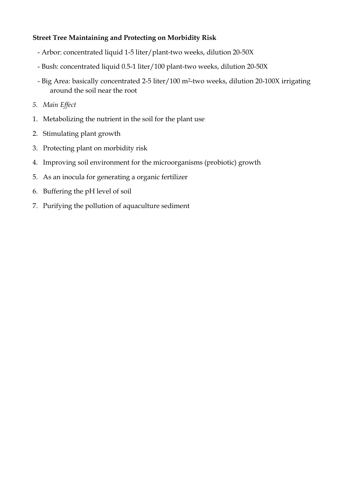# **Street Tree Maintaining and Protecting on Morbidity Risk**

- Arbor: concentrated liquid 1-5 liter/plant-two weeks, dilution 20-50X
- Bush: concentrated liquid 0.5-1 liter/100 plant-two weeks, dilution 20-50X
- Big Area: basically concentrated 2-5 liter/100 m2-two weeks, dilution 20-100X irrigating around the soil near the root
- *5. Main Effect*
- 1. Metabolizing the nutrient in the soil for the plant use
- 2. Stimulating plant growth
- 3. Protecting plant on morbidity risk
- 4. Improving soil environment for the microorganisms (probiotic) growth
- 5. As an inocula for generating a organic fertilizer
- 6. Buffering the pH level of soil
- 7. Purifying the pollution of aquaculture sediment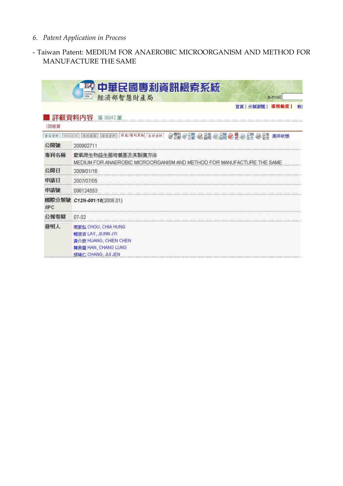# *6. Patent Application in Process*

# - Taiwan Patent: MEDIUM FOR ANAEROBIC MICROORGANISM AND METHOD FOR MANUFACTURE THE SAME

|                      | 中華民國專利資訊檢索系統<br><b>Lite becketed</b>                                                                           |  |  |  |
|----------------------|----------------------------------------------------------------------------------------------------------------|--|--|--|
|                      | <b><i><u>EDISHIPS</u></i></b><br>經濟部智慧財產局<br><b>Citas</b><br>e-mail.                                           |  |  |  |
|                      | 分類激性<br>檢<br>首百                                                                                                |  |  |  |
|                      | 詳細資料内容<br>第30/42 筆                                                                                             |  |  |  |
| 回前頁                  |                                                                                                                |  |  |  |
| 本日证书                 | 李刊庄田  株項正社  秋易/根村昌助  全部資料 <br>● 要要 ● 公開 ● 公開 ● 公開 ● 早 ● 全型 ● 全支 案件状態                                           |  |  |  |
| 公開號                  | 200902711                                                                                                      |  |  |  |
| 重利名稱<br>             | 厭氧微生物益生菌培養基及其製備方法<br>MEDIUM FOR ANAEROBIC MICROORGANISM AND METHOD FOR MANUFACTURE THE SAME                    |  |  |  |
| 公開日                  | 2009/01/18                                                                                                     |  |  |  |
| 申請日                  | 2007/07/05                                                                                                     |  |  |  |
| 申請號                  | 096124553                                                                                                      |  |  |  |
| 國際分類號<br><b>IIPC</b> | C12N-001/10(2006.01)                                                                                           |  |  |  |
| 公報卷期                 | $07 - 02$                                                                                                      |  |  |  |
| 發明人                  | 周家弘 CHOU, CHIA HUNG<br>賴俊吉 LAY, JIUNN JYI<br>黃介辰 HUANG, CHIEN CHEN<br>韓長龍 HAN, CHANG LUNG<br>張瑞仁 CHANG, JULJEN |  |  |  |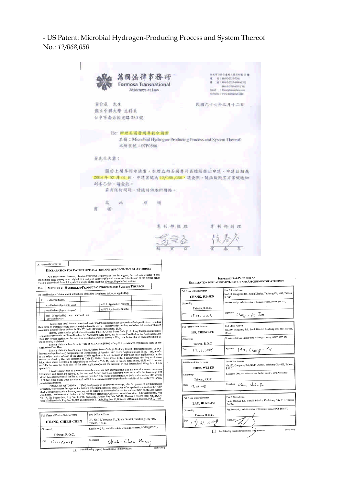- US Patent: Microbial Hydrogen-Producing Process and System Thereof No.: 12/068,050

| 萬國法律事務所<br>Formosa Transnational<br>Attorneys at Law | 北平 209 亿丈地 3.30 (同 就 计 律<br>B L 886-8-1155-1300<br>A / 884-2-2727-4-000 (ETG)<br><b>SAGAZINE ARTISTES</b><br>Titual : Ellievidamenthecom<br>Walterlin Cwww.bikegallaw.craw |
|------------------------------------------------------|----------------------------------------------------------------------------------------------------------------------------------------------------------------------------|
| 黄介瓜 光生<br>黑立中群大學 生科系<br>台中市南西间北路 150 轮               | 民間九十十年三月十二日                                                                                                                                                                |
| Re: 神理美国發明年和市商業<br>本所重建: 07P0566                     | 名称: Microbial Hydrogen-Producing Process and System Thereof                                                                                                                |
| 责先生永攀!                                               |                                                                                                                                                                            |
| 副本乙仙、清查收。<br>若有任何简陋。请随筋你亦所辱格。                        | 開於土開專利甲請案。本所已向美國專利商標局提出申請、申請日都為<br>2008年02月01日,中动家奖高12/008,050,请委里。随函检附官方案奖通知                                                                                              |
| 茈<br>۱H                                              |                                                                                                                                                                            |
|                                                      |                                                                                                                                                                            |
|                                                      |                                                                                                                                                                            |

|        | ATTORNEY/DOCKET ND:                                                                                                                                                                                                                                                                                                                                                                                                                                                         |                                                                                                                                                                                                                                    |                            |  |
|--------|-----------------------------------------------------------------------------------------------------------------------------------------------------------------------------------------------------------------------------------------------------------------------------------------------------------------------------------------------------------------------------------------------------------------------------------------------------------------------------|------------------------------------------------------------------------------------------------------------------------------------------------------------------------------------------------------------------------------------|----------------------------|--|
|        | DECLARATION FOR PATENT APPLICATION AND APPOINTMENT OF ATTORNEY                                                                                                                                                                                                                                                                                                                                                                                                              |                                                                                                                                                                                                                                    |                            |  |
|        | As a below named inventor, I hereby declare that I believe that I am the original, first and sole inventor (if only<br>one name is listed below) or an original, first and joint inventor (if plural names are listed below) of the subject matter<br>which is claimed and for which a patent is sought on the invention (Design, if applicable) entitled:                                                                                                                  |                                                                                                                                                                                                                                    |                            |  |
| Title: | MICROBIAL HYDROGEN-PRODUCING PROCESS AND SYSTEM THEREOF                                                                                                                                                                                                                                                                                                                                                                                                                     |                                                                                                                                                                                                                                    |                            |  |
|        | the specification of which (check at least one of the first three boxes below, as applicable):                                                                                                                                                                                                                                                                                                                                                                              |                                                                                                                                                                                                                                    |                            |  |
| X      | is attached hereto.                                                                                                                                                                                                                                                                                                                                                                                                                                                         |                                                                                                                                                                                                                                    |                            |  |
|        | was filed on (day-month-year)                                                                                                                                                                                                                                                                                                                                                                                                                                               |                                                                                                                                                                                                                                    | as U.S. Application Number |  |
|        | was filed on (day-month-year)                                                                                                                                                                                                                                                                                                                                                                                                                                               |                                                                                                                                                                                                                                    | as PCT Application Number  |  |
|        | and (if applicable) was amended on<br>(day-month-year)                                                                                                                                                                                                                                                                                                                                                                                                                      |                                                                                                                                                                                                                                    |                            |  |
|        | the claims, as amended by any amendment(s) referred to above. I acknowledge the duty to disclose information which is<br>material to patentability as defined in Title 37, Code of Federal Regulations, §1.56.<br>for patent or inventor's certificate listed on the Application Data Sheet, and have also identified on the Application Data<br>Sheet any foreign application for patent or inventor's certificate having a filing date before that of each application or | I hereby state that I have reviewed and understand the contents of the above-identified specification, including<br>I hereby claim foreign priority benefits under Title 35, United States Code §119 of any foreign application(s) |                            |  |

for painting in the Application Data Show, and have also do the Application Data Show, and have also does<br>the application of the Application of the part or inventor's certificate having a filling date before that of each

| Full Name of First or Sole Inventor | Post Office Address                                                           |  |  |
|-------------------------------------|-------------------------------------------------------------------------------|--|--|
| HUANG, CHIEH-CHEN                   | 9F., No.16, Yongnan St., South District, Taichung City 402,<br>Taiwan, R.O.C. |  |  |
| Citizenship                         | Residence (city, and either state or foreign country, MPEP §605.02)           |  |  |
| Taiwan, R.O.C.                      |                                                                               |  |  |
| Date<br>(9/01/2008                  | Signature<br>Chich-Chen Muanp                                                 |  |  |
|                                     | (02N-y2001                                                                    |  |  |

# SUPPLEMENTAL PAGE FOR AN

| DECLARATION FOR PATENT APPLICATION AND APPOINTMENT OF ATTORNEY               |                                                                                                   |  |  |  |
|------------------------------------------------------------------------------|---------------------------------------------------------------------------------------------------|--|--|--|
| Full Name of Joint Inventor<br>CHANG, JUI-JEN                                | Post Office Address<br>No.250, Guoguang Rd., South District, Taichung City 402, Taiwan,<br>R.O.C. |  |  |  |
| Citizenship<br>Taiwan, R.O.C.                                                | Residence (city, and either state or foreign country, MPEP §605.02)                               |  |  |  |
| Date<br>17.01.100R                                                           | Signature<br>Chang, Jui Ien.                                                                      |  |  |  |
|                                                                              |                                                                                                   |  |  |  |
| Full Name of Joint Inventor<br>HO, CHENG-YU                                  | Post Office Address<br>No.250, Guoguang Rd., South District, Taichung City 402, Taiwan,<br>R.O.C. |  |  |  |
| Citizenship<br>Taiwan, R.O.C.                                                | Residence (city, and either state or foreign country, MPEP §605.02)                               |  |  |  |
| 17.01.2008<br>Date                                                           | Signature<br>Ho, Cheng - Yu                                                                       |  |  |  |
|                                                                              |                                                                                                   |  |  |  |
| Full Name of Joint Inventor<br><b>CHEN, WEI-EN</b>                           | Post Office Address<br>No.250, Guoguang Rd., South District, Taichung City 402, Taiwan,<br>R.O.C. |  |  |  |
| Citizenship<br>Taiwan, R.O.C.                                                | Residence (city, and either state or foreign country, MPEP §605.02)                               |  |  |  |
| Date<br>$17 - 1.3008$                                                        | Signature Oten, $W_{ei}$ $\vec{r}_{h}$                                                            |  |  |  |
|                                                                              |                                                                                                   |  |  |  |
| Full Name of Joint Inventor<br>LAY, JIUNN-JYI                                | Post Office Address<br>No.2, Jhuoyue Rd., Nanzih District, Kaohsiung City 811, Taiwan,<br>R.O.C.  |  |  |  |
| Citizenship                                                                  | Residence (city, and either state or foreign country, MPEP §605.02)                               |  |  |  |
| Taiwan, R.O.C.                                                               |                                                                                                   |  |  |  |
| Date<br>$17.01.$ dough                                                       | Signature                                                                                         |  |  |  |
| $(05\text{Now}2001)$<br>See following page(s) for additional join/inventors. |                                                                                                   |  |  |  |

x See following page(s) for additional joint inventors